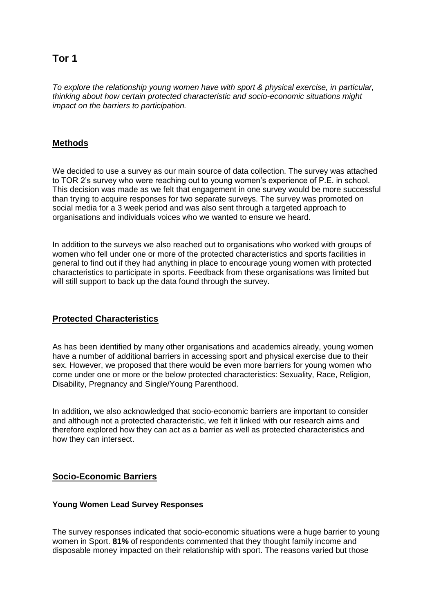# **Tor 1**

*To explore the relationship young women have with sport & physical exercise, in particular, thinking about how certain protected characteristic and socio-economic situations might impact on the barriers to participation.* 

### **Methods**

We decided to use a survey as our main source of data collection. The survey was attached to TOR 2's survey who were reaching out to young women's experience of P.E. in school. This decision was made as we felt that engagement in one survey would be more successful than trying to acquire responses for two separate surveys. The survey was promoted on social media for a 3 week period and was also sent through a targeted approach to organisations and individuals voices who we wanted to ensure we heard.

In addition to the surveys we also reached out to organisations who worked with groups of women who fell under one or more of the protected characteristics and sports facilities in general to find out if they had anything in place to encourage young women with protected characteristics to participate in sports. Feedback from these organisations was limited but will still support to back up the data found through the survey.

### **Protected Characteristics**

As has been identified by many other organisations and academics already, young women have a number of additional barriers in accessing sport and physical exercise due to their sex. However, we proposed that there would be even more barriers for young women who come under one or more or the below protected characteristics: Sexuality, Race, Religion, Disability, Pregnancy and Single/Young Parenthood.

In addition, we also acknowledged that socio-economic barriers are important to consider and although not a protected characteristic, we felt it linked with our research aims and therefore explored how they can act as a barrier as well as protected characteristics and how they can intersect.

### **Socio-Economic Barriers**

### **Young Women Lead Survey Responses**

The survey responses indicated that socio-economic situations were a huge barrier to young women in Sport. **81%** of respondents commented that they thought family income and disposable money impacted on their relationship with sport. The reasons varied but those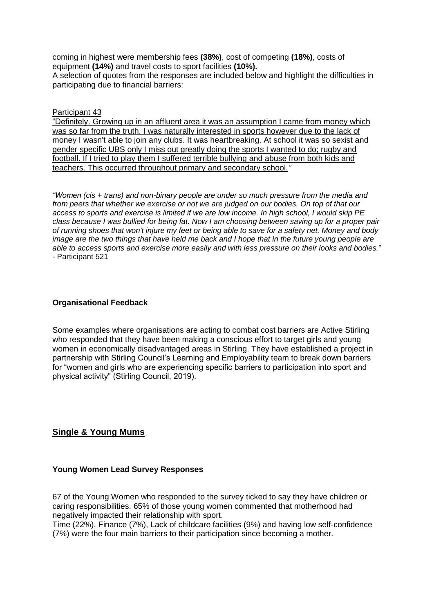coming in highest were membership fees **(38%)**, cost of competing **(18%)**, costs of equipment **(14%)** and travel costs to sport facilities **(10%).** 

A selection of quotes from the responses are included below and highlight the difficulties in participating due to financial barriers:

Participant 43

"Definitely. Growing up in an affluent area it was an assumption I came from money which was so far from the truth. I was naturally interested in sports however due to the lack of money I wasn't able to join any clubs. It was heartbreaking. At school it was so sexist and gender specific UBS only I miss out greatly doing the sports I wanted to do; rugby and football. If I tried to play them I suffered terrible bullying and abuse from both kids and teachers. This occurred throughout primary and secondary school.*"*

*"Women (cis + trans) and non-binary people are under so much pressure from the media and*  from peers that whether we exercise or not we are judged on our bodies. On top of that our *access to sports and exercise is limited if we are low income. In high school, I would skip PE class because I was bullied for being fat. Now I am choosing between saving up for a proper pair of running shoes that won't injure my feet or being able to save for a safety net. Money and body image are the two things that have held me back and I hope that in the future young people are able to access sports and exercise more easily and with less pressure on their looks and bodies.*" - Participant 521

### **Organisational Feedback**

Some examples where organisations are acting to combat cost barriers are Active Stirling who responded that they have been making a conscious effort to target girls and young women in economically disadvantaged areas in Stirling. They have established a project in partnership with Stirling Council's Learning and Employability team to break down barriers for "women and girls who are experiencing specific barriers to participation into sport and physical activity" (Stirling Council, 2019).

### **Single & Young Mums**

### **Young Women Lead Survey Responses**

67 of the Young Women who responded to the survey ticked to say they have children or caring responsibilities. 65% of those young women commented that motherhood had negatively impacted their relationship with sport.

Time (22%), Finance (7%), Lack of childcare facilities (9%) and having low self-confidence (7%) were the four main barriers to their participation since becoming a mother.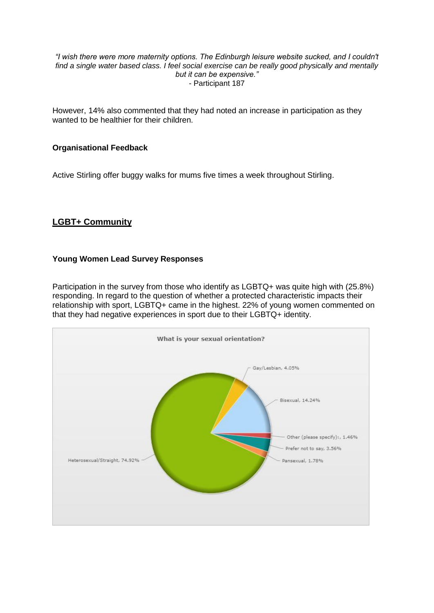#### *"I wish there were more maternity options. The Edinburgh leisure website sucked, and I couldn't find a single water based class. I feel social exercise can be really good physically and mentally but it can be expensive."* - Participant 187

However, 14% also commented that they had noted an increase in participation as they wanted to be healthier for their children.

### **Organisational Feedback**

Active Stirling offer buggy walks for mums five times a week throughout Stirling.

## **LGBT+ Community**

### **Young Women Lead Survey Responses**

Participation in the survey from those who identify as LGBTQ+ was quite high with (25.8%) responding. In regard to the question of whether a protected characteristic impacts their relationship with sport, LGBTQ+ came in the highest. 22% of young women commented on that they had negative experiences in sport due to their LGBTQ+ identity.

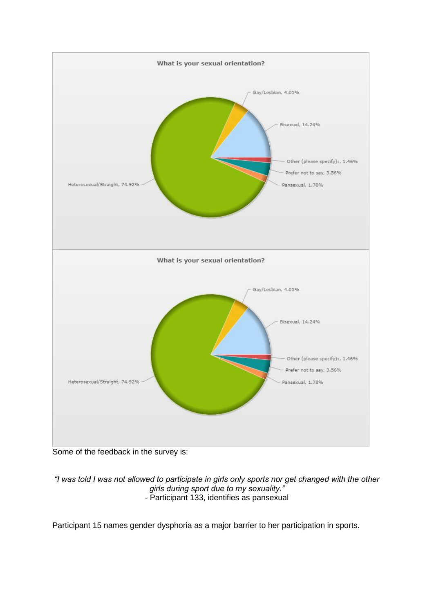

Some of the feedback in the survey is:

*"I was told I was not allowed to participate in girls only sports nor get changed with the other girls during sport due to my sexuality." -* Participant 133, identifies as pansexual

Participant 15 names gender dysphoria as a major barrier to her participation in sports.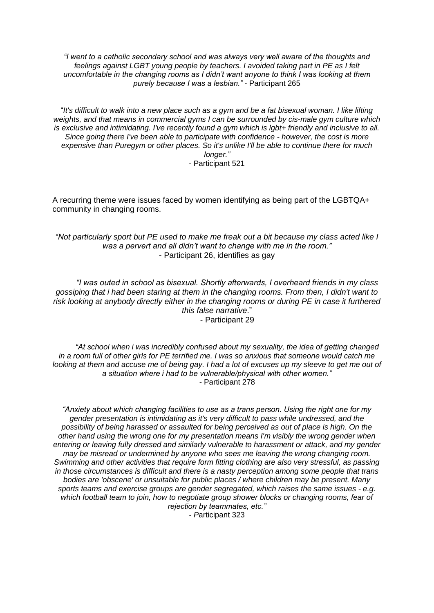*"I went to a catholic secondary school and was always very well aware of the thoughts and feelings against LGBT young people by teachers. I avoided taking part in PE as I felt uncomfortable in the changing rooms as I didn't want anyone to think I was looking at them purely because I was a lesbian."* - Participant 265

"*It's difficult to walk into a new place such as a gym and be a fat bisexual woman. I like lifting weights, and that means in commercial gyms I can be surrounded by cis-male gym culture which is exclusive and intimidating. I've recently found a gym which is lgbt+ friendly and inclusive to all. Since going there I've been able to participate with confidence - however, the cost is more expensive than Puregym or other places. So it's unlike I'll be able to continue there for much longer."* - Participant 521

A recurring theme were issues faced by women identifying as being part of the LGBTQA+ community in changing rooms.

*"Not particularly sport but PE used to make me freak out a bit because my class acted like I was a pervert and all didn't want to change with me in the room."* - Participant 26, identifies as gay

*"I was outed in school as bisexual. Shortly afterwards, I overheard friends in my class gossiping that i had been staring at them in the changing rooms. From then, I didn't want to risk looking at anybody directly either in the changing rooms or during PE in case it furthered this false narrative*." - Participant 29

*"At school when i was incredibly confused about my sexuality, the idea of getting changed in a room full of other girls for PE terrified me. I was so anxious that someone would catch me looking at them and accuse me of being gay. I had a lot of excuses up my sleeve to get me out of a situation where i had to be vulnerable/physical with other women." -* Participant 278

*"Anxiety about which changing facilities to use as a trans person. Using the right one for my gender presentation is intimidating as it's very difficult to pass while undressed, and the possibility of being harassed or assaulted for being perceived as out of place is high. On the other hand using the wrong one for my presentation means I'm visibly the wrong gender when entering or leaving fully dressed and similarly vulnerable to harassment or attack, and my gender may be misread or undermined by anyone who sees me leaving the wrong changing room. Swimming and other activities that require form fitting clothing are also very stressful, as passing in those circumstances is difficult and there is a nasty perception among some people that trans bodies are 'obscene' or unsuitable for public places / where children may be present. Many sports teams and exercise groups are gender segregated, which raises the same issues - e.g. which football team to join, how to negotiate group shower blocks or changing rooms, fear of rejection by teammates, etc."* 

*- P*articipant 323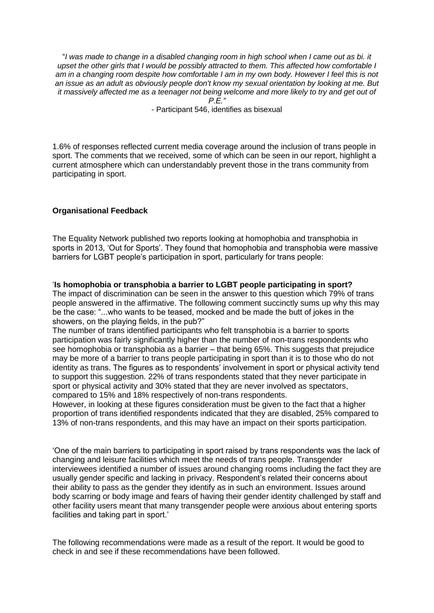"*I was made to change in a disabled changing room in high school when I came out as bi. it upset the other girls that I would be possibly attracted to them. This affected how comfortable I am in a changing room despite how comfortable I am in my own body. However I feel this is not an issue as an adult as obviously people don't know my sexual orientation by looking at me. But it massively affected me as a teenager not being welcome and more likely to try and get out of P.E."*

- Participant 546, identifies as bisexual

1.6% of responses reflected current media coverage around the inclusion of trans people in sport. The comments that we received, some of which can be seen in our report, highlight a current atmosphere which can understandably prevent those in the trans community from participating in sport.

### **Organisational Feedback**

The Equality Network published two reports looking at homophobia and transphobia in sports in 2013, 'Out for Sports'. They found that homophobia and transphobia were massive barriers for LGBT people's participation in sport, particularly for trans people:

'**Is homophobia or transphobia a barrier to LGBT people participating in sport?** The impact of discrimination can be seen in the answer to this question which 79% of trans people answered in the affirmative. The following comment succinctly sums up why this may be the case: "...who wants to be teased, mocked and be made the butt of jokes in the showers, on the playing fields, in the pub?"

The number of trans identified participants who felt transphobia is a barrier to sports participation was fairly significantly higher than the number of non-trans respondents who see homophobia or transphobia as a barrier – that being 65%. This suggests that prejudice may be more of a barrier to trans people participating in sport than it is to those who do not identity as trans. The figures as to respondents' involvement in sport or physical activity tend to support this suggestion. 22% of trans respondents stated that they never participate in sport or physical activity and 30% stated that they are never involved as spectators, compared to 15% and 18% respectively of non-trans respondents.

However, in looking at these figures consideration must be given to the fact that a higher proportion of trans identified respondents indicated that they are disabled, 25% compared to 13% of non-trans respondents, and this may have an impact on their sports participation.

'One of the main barriers to participating in sport raised by trans respondents was the lack of changing and leisure facilities which meet the needs of trans people. Transgender interviewees identified a number of issues around changing rooms including the fact they are usually gender specific and lacking in privacy. Respondent's related their concerns about their ability to pass as the gender they identify as in such an environment. Issues around body scarring or body image and fears of having their gender identity challenged by staff and other facility users meant that many transgender people were anxious about entering sports facilities and taking part in sport.'

The following recommendations were made as a result of the report. It would be good to check in and see if these recommendations have been followed.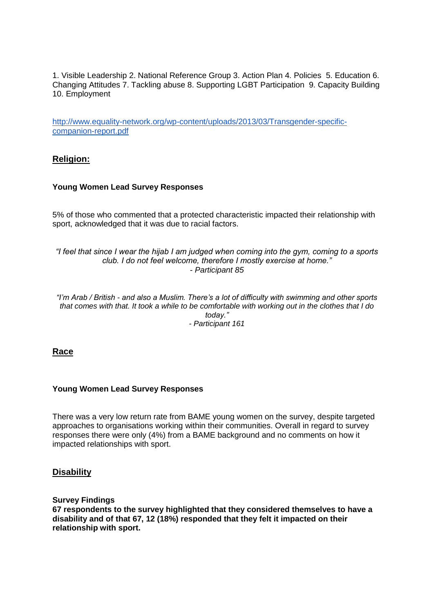1. Visible Leadership 2. National Reference Group 3. Action Plan 4. Policies 5. Education 6. Changing Attitudes 7. Tackling abuse 8. Supporting LGBT Participation 9. Capacity Building 10. Employment

[http://www.equality-network.org/wp-content/uploads/2013/03/Transgender-specific](http://www.equality-network.org/wp-content/uploads/2013/03/Transgender-specific-companion-report.pdf)[companion-report.pdf](http://www.equality-network.org/wp-content/uploads/2013/03/Transgender-specific-companion-report.pdf)

### **Religion:**

#### **Young Women Lead Survey Responses**

5% of those who commented that a protected characteristic impacted their relationship with sport, acknowledged that it was due to racial factors.

*"I feel that since I wear the hijab I am judged when coming into the gym, coming to a sports club. I do not feel welcome, therefore I mostly exercise at home." - Participant 85*

*"I'm Arab / British - and also a Muslim. There's a lot of difficulty with swimming and other sports that comes with that. It took a while to be comfortable with working out in the clothes that I do today." - Participant 161*

### **Race**

#### **Young Women Lead Survey Responses**

There was a very low return rate from BAME young women on the survey, despite targeted approaches to organisations working within their communities. Overall in regard to survey responses there were only (4%) from a BAME background and no comments on how it impacted relationships with sport.

### **Disability**

**Survey Findings 67 respondents to the survey highlighted that they considered themselves to have a disability and of that 67, 12 (18%) responded that they felt it impacted on their relationship with sport.**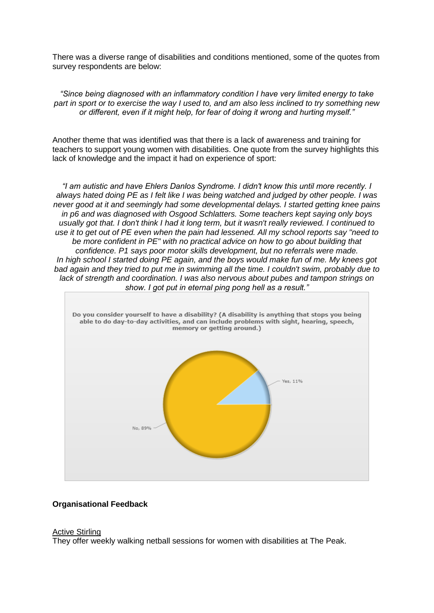There was a diverse range of disabilities and conditions mentioned, some of the quotes from survey respondents are below:

*"Since being diagnosed with an inflammatory condition I have very limited energy to take part in sport or to exercise the way I used to, and am also less inclined to try something new or different, even if it might help, for fear of doing it wrong and hurting myself."*

Another theme that was identified was that there is a lack of awareness and training for teachers to support young women with disabilities. One quote from the survey highlights this lack of knowledge and the impact it had on experience of sport:

*"I am autistic and have Ehlers Danlos Syndrome. I didn't know this until more recently. I always hated doing PE as I felt like I was being watched and judged by other people. I was never good at it and seemingly had some developmental delays. I started getting knee pains in p6 and was diagnosed with Osgood Schlatters. Some teachers kept saying only boys usually got that. I don't think I had it long term, but it wasn't really reviewed. I continued to use it to get out of PE even when the pain had lessened. All my school reports say "need to be more confident in PE" with no practical advice on how to go about building that confidence. P1 says poor motor skills development, but no referrals were made. In high school I started doing PE again, and the boys would make fun of me. My knees got bad again and they tried to put me in swimming all the time. I couldn't swim, probably due to lack of strength and coordination. I was also nervous about pubes and tampon strings on show. I got put in eternal ping pong hell as a result."*



#### **Organisational Feedback**

#### Active Stirling

They offer weekly walking netball sessions for women with disabilities at The Peak.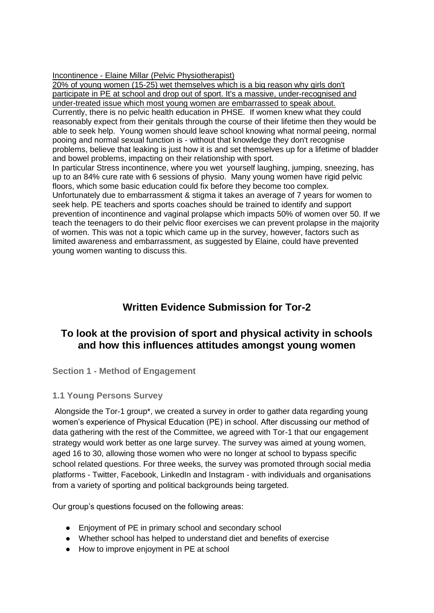Incontinence - Elaine Millar (Pelvic Physiotherapist)

20% of young women (15-25) wet themselves which is a big reason why girls don't participate in PE at school and drop out of sport. It's a massive, under-recognised and under-treated issue which most young women are embarrassed to speak about. Currently, there is no pelvic health education in PHSE. If women knew what they could reasonably expect from their genitals through the course of their lifetime then they would be able to seek help. Young women should leave school knowing what normal peeing, normal pooing and normal sexual function is - without that knowledge they don't recognise problems, believe that leaking is just how it is and set themselves up for a lifetime of bladder and bowel problems, impacting on their relationship with sport. In particular Stress incontinence, where you wet yourself laughing, jumping, sneezing, has up to an 84% cure rate with 6 sessions of physio. Many young women have rigid pelvic floors, which some basic education could fix before they become too complex. Unfortunately due to embarrassment & stigma it takes an average of 7 years for women to seek help. PE teachers and sports coaches should be trained to identify and support prevention of incontinence and vaginal prolapse which impacts 50% of women over 50. If we teach the teenagers to do their pelvic floor exercises we can prevent prolapse in the majority of women. This was not a topic which came up in the survey, however, factors such as limited awareness and embarrassment, as suggested by Elaine, could have prevented young women wanting to discuss this.

# **Written Evidence Submission for Tor-2**

# **To look at the provision of sport and physical activity in schools and how this influences attitudes amongst young women**

**Section 1 - Method of Engagement** 

### **1.1 Young Persons Survey**

Alongside the Tor-1 group\*, we created a survey in order to gather data regarding young women's experience of Physical Education (PE) in school. After discussing our method of data gathering with the rest of the Committee, we agreed with Tor-1 that our engagement strategy would work better as one large survey. The survey was aimed at young women, aged 16 to 30, allowing those women who were no longer at school to bypass specific school related questions. For three weeks, the survey was promoted through social media platforms - Twitter, Facebook, LinkedIn and Instagram - with individuals and organisations from a variety of sporting and political backgrounds being targeted.

Our group's questions focused on the following areas:

- Enjoyment of PE in primary school and secondary school
- Whether school has helped to understand diet and benefits of exercise
- How to improve enjoyment in PE at school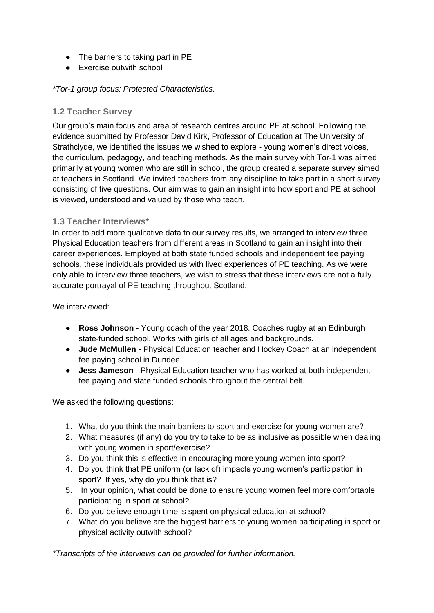- The barriers to taking part in PE
- Exercise outwith school

*\*Tor-1 group focus: Protected Characteristics.* 

### **1.2 Teacher Survey**

Our group's main focus and area of research centres around PE at school. Following the evidence submitted by Professor David Kirk, Professor of Education at The University of Strathclyde, we identified the issues we wished to explore - young women's direct voices, the curriculum, pedagogy, and teaching methods. As the main survey with Tor-1 was aimed primarily at young women who are still in school, the group created a separate survey aimed at teachers in Scotland. We invited teachers from any discipline to take part in a short survey consisting of five questions. Our aim was to gain an insight into how sport and PE at school is viewed, understood and valued by those who teach.

### **1.3 Teacher Interviews\***

In order to add more qualitative data to our survey results, we arranged to interview three Physical Education teachers from different areas in Scotland to gain an insight into their career experiences. Employed at both state funded schools and independent fee paying schools, these individuals provided us with lived experiences of PE teaching. As we were only able to interview three teachers, we wish to stress that these interviews are not a fully accurate portrayal of PE teaching throughout Scotland.

We interviewed:

- **Ross Johnson** Young coach of the year 2018. Coaches rugby at an Edinburgh state-funded school. Works with girls of all ages and backgrounds.
- **Jude McMullen** Physical Education teacher and Hockey Coach at an independent fee paying school in Dundee.
- **Jess Jameson** Physical Education teacher who has worked at both independent fee paying and state funded schools throughout the central belt.

We asked the following questions:

- 1. What do you think the main barriers to sport and exercise for young women are?
- 2. What measures (if any) do you try to take to be as inclusive as possible when dealing with young women in sport/exercise?
- 3. Do you think this is effective in encouraging more young women into sport?
- 4. Do you think that PE uniform (or lack of) impacts young women's participation in sport? If yes, why do you think that is?
- 5. In your opinion, what could be done to ensure young women feel more comfortable participating in sport at school?
- 6. Do you believe enough time is spent on physical education at school?
- 7. What do you believe are the biggest barriers to young women participating in sport or physical activity outwith school?

*\*Transcripts of the interviews can be provided for further information.*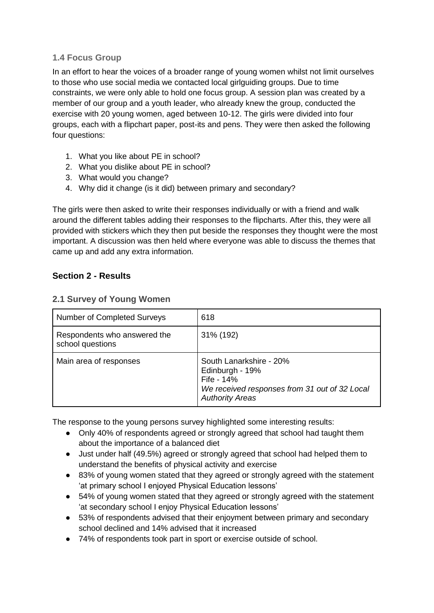### **1.4 Focus Group**

In an effort to hear the voices of a broader range of young women whilst not limit ourselves to those who use social media we contacted local girlguiding groups. Due to time constraints, we were only able to hold one focus group. A session plan was created by a member of our group and a youth leader, who already knew the group, conducted the exercise with 20 young women, aged between 10-12. The girls were divided into four groups, each with a flipchart paper, post-its and pens. They were then asked the following four questions:

- 1. What you like about PE in school?
- 2. What you dislike about PE in school?
- 3. What would you change?
- 4. Why did it change (is it did) between primary and secondary?

The girls were then asked to write their responses individually or with a friend and walk around the different tables adding their responses to the flipcharts. After this, they were all provided with stickers which they then put beside the responses they thought were the most important. A discussion was then held where everyone was able to discuss the themes that came up and add any extra information.

## **Section 2 - Results**

### **2.1 Survey of Young Women**

| <b>Number of Completed Surveys</b>               | 618                                                                                                                                 |  |  |  |  |  |  |
|--------------------------------------------------|-------------------------------------------------------------------------------------------------------------------------------------|--|--|--|--|--|--|
| Respondents who answered the<br>school questions | 31% (192)                                                                                                                           |  |  |  |  |  |  |
| Main area of responses                           | South Lanarkshire - 20%<br>Edinburgh - 19%<br>Fife - 14%<br>We received responses from 31 out of 32 Local<br><b>Authority Areas</b> |  |  |  |  |  |  |

The response to the young persons survey highlighted some interesting results:

- Only 40% of respondents agreed or strongly agreed that school had taught them about the importance of a balanced diet
- Just under half (49.5%) agreed or strongly agreed that school had helped them to understand the benefits of physical activity and exercise
- 83% of young women stated that they agreed or strongly agreed with the statement 'at primary school I enjoyed Physical Education lessons'
- 54% of young women stated that they agreed or strongly agreed with the statement 'at secondary school I enjoy Physical Education lessons'
- 53% of respondents advised that their enjoyment between primary and secondary school declined and 14% advised that it increased
- 74% of respondents took part in sport or exercise outside of school.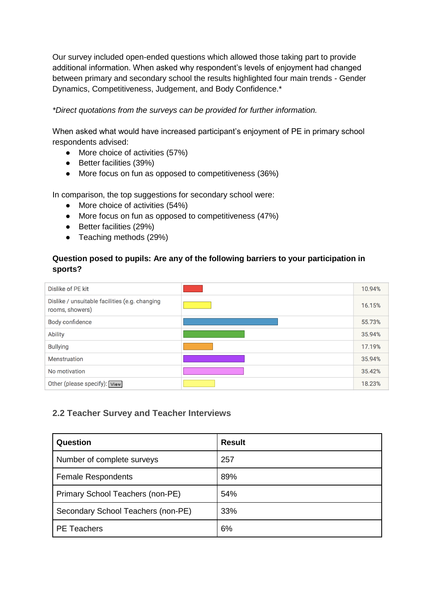Our survey included open-ended questions which allowed those taking part to provide additional information. When asked why respondent's levels of enjoyment had changed between primary and secondary school the results highlighted four main trends - Gender Dynamics, Competitiveness, Judgement, and Body Confidence.\*

### *\*Direct quotations from the surveys can be provided for further information.*

When asked what would have increased participant's enjoyment of PE in primary school respondents advised:

- More choice of activities (57%)
- Better facilities (39%)
- More focus on fun as opposed to competitiveness (36%)

In comparison, the top suggestions for secondary school were:

- More choice of activities (54%)
- More focus on fun as opposed to competitiveness (47%)
- Better facilities (29%)
- Teaching methods (29%)

### **Question posed to pupils: Are any of the following barriers to your participation in sports?**

| Dislike of PE kit                                                 | 10.94% |
|-------------------------------------------------------------------|--------|
| Dislike / unsuitable facilities (e.g. changing<br>rooms, showers) | 16.15% |
| Body confidence                                                   | 55.73% |
| <b>Ability</b>                                                    | 35.94% |
| <b>Bullying</b>                                                   | 17.19% |
| Menstruation                                                      | 35.94% |
| No motivation                                                     | 35.42% |
| Other (please specify): View]                                     | 18.23% |

### **2.2 Teacher Survey and Teacher Interviews**

| Question                           | <b>Result</b> |  |  |  |  |  |  |
|------------------------------------|---------------|--|--|--|--|--|--|
| Number of complete surveys         | 257           |  |  |  |  |  |  |
| <b>Female Respondents</b>          | 89%           |  |  |  |  |  |  |
| Primary School Teachers (non-PE)   | 54%           |  |  |  |  |  |  |
| Secondary School Teachers (non-PE) | 33%           |  |  |  |  |  |  |
| <b>PE</b> Teachers                 | 6%            |  |  |  |  |  |  |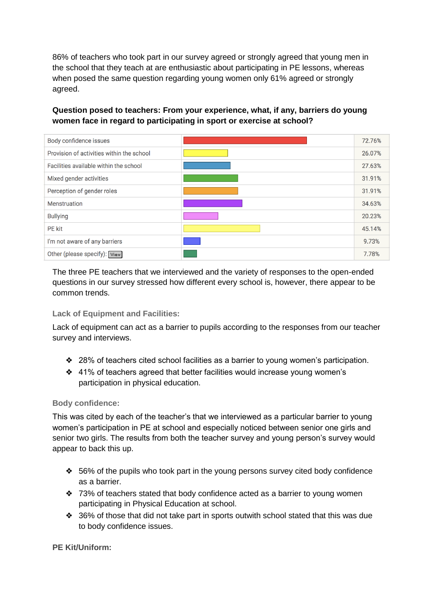86% of teachers who took part in our survey agreed or strongly agreed that young men in the school that they teach at are enthusiastic about participating in PE lessons, whereas when posed the same question regarding young women only 61% agreed or strongly agreed.

### **Question posed to teachers: From your experience, what, if any, barriers do young women face in regard to participating in sport or exercise at school?**

| Body confidence issues                    | 72.76% |
|-------------------------------------------|--------|
| Provision of activities within the school | 26.07% |
| Facilities available within the school    | 27.63% |
| Mixed gender activities                   | 31.91% |
| Perception of gender roles                | 31.91% |
| <b>Menstruation</b>                       | 34.63% |
| <b>Bullying</b>                           | 20.23% |
| <b>PE</b> kit                             | 45.14% |
| I'm not aware of any barriers             | 9.73%  |
| Other (please specify): View              | 7.78%  |

The three PE teachers that we interviewed and the variety of responses to the open-ended questions in our survey stressed how different every school is, however, there appear to be common trends.

### **Lack of Equipment and Facilities:**

Lack of equipment can act as a barrier to pupils according to the responses from our teacher survey and interviews.

- ❖ 28% of teachers cited school facilities as a barrier to young women's participation.
- ❖ 41% of teachers agreed that better facilities would increase young women's participation in physical education.

### **Body confidence:**

This was cited by each of the teacher's that we interviewed as a particular barrier to young women's participation in PE at school and especially noticed between senior one girls and senior two girls. The results from both the teacher survey and young person's survey would appear to back this up.

- ❖ 56% of the pupils who took part in the young persons survey cited body confidence as a barrier.
- ❖ 73% of teachers stated that body confidence acted as a barrier to young women participating in Physical Education at school.
- ❖ 36% of those that did not take part in sports outwith school stated that this was due to body confidence issues.

**PE Kit/Uniform:**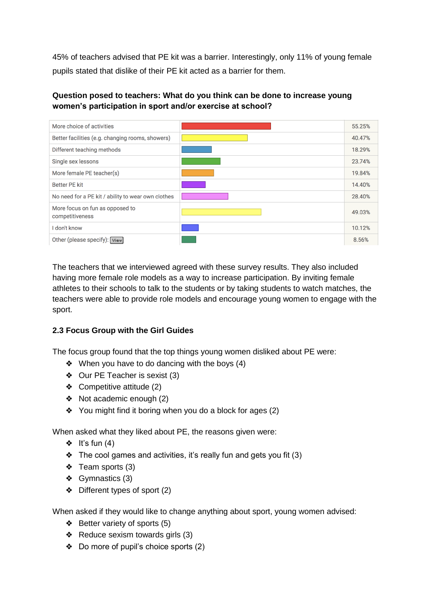45% of teachers advised that PE kit was a barrier. Interestingly, only 11% of young female pupils stated that dislike of their PE kit acted as a barrier for them.

### **Question posed to teachers: What do you think can be done to increase young women's participation in sport and/or exercise at school?**

| More choice of activities                          | 55.25% |
|----------------------------------------------------|--------|
| Better facilities (e.g. changing rooms, showers)   | 40.47% |
| Different teaching methods                         | 18.29% |
| Single sex lessons                                 | 23.74% |
| More female PE teacher(s)                          | 19.84% |
| <b>Better PE kit</b>                               | 14.40% |
| No need for a PE kit / ability to wear own clothes | 28.40% |
| More focus on fun as opposed to<br>competitiveness | 49.03% |
| I don't know                                       | 10.12% |
| Other (please specify): View                       | 8.56%  |

The teachers that we interviewed agreed with these survey results. They also included having more female role models as a way to increase participation. By inviting female athletes to their schools to talk to the students or by taking students to watch matches, the teachers were able to provide role models and encourage young women to engage with the sport.

## **2.3 Focus Group with the Girl Guides**

The focus group found that the top things young women disliked about PE were:

- ❖ When you have to do dancing with the boys (4)
- ❖ Our PE Teacher is sexist (3)
- ❖ Competitive attitude (2)
- ❖ Not academic enough (2)
- ❖ You might find it boring when you do a block for ages (2)

When asked what they liked about PE, the reasons given were:

- $\div$  It's fun (4)
- $\triangleleft$  The cool games and activities, it's really fun and gets you fit (3)
- ❖ Team sports (3)
- ❖ Gymnastics (3)
- ❖ Different types of sport (2)

When asked if they would like to change anything about sport, young women advised:

- ❖ Better variety of sports (5)
- ❖ Reduce sexism towards girls (3)
- ❖ Do more of pupil's choice sports (2)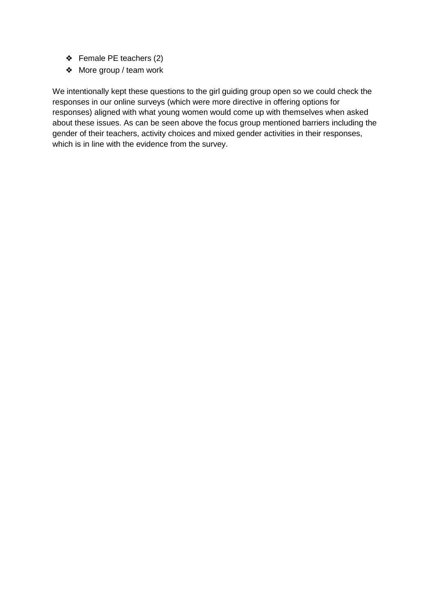- ❖ Female PE teachers (2)
- ❖ More group / team work

We intentionally kept these questions to the girl guiding group open so we could check the responses in our online surveys (which were more directive in offering options for responses) aligned with what young women would come up with themselves when asked about these issues. As can be seen above the focus group mentioned barriers including the gender of their teachers, activity choices and mixed gender activities in their responses, which is in line with the evidence from the survey.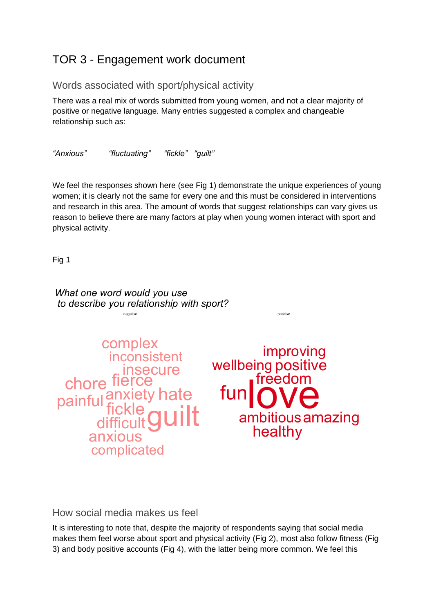# TOR 3 - Engagement work document

# Words associated with sport/physical activity

There was a real mix of words submitted from young women, and not a clear majority of positive or negative language. Many entries suggested a complex and changeable relationship such as:

*"Anxious" "fluctuating" "fickle" "guilt"*

We feel the responses shown here (see Fig 1) demonstrate the unique experiences of young women; it is clearly not the same for every one and this must be considered in interventions and research in this area. The amount of words that suggest relationships can vary gives us reason to believe there are many factors at play when young women interact with sport and physical activity.

Fig 1

What one word would you use to describe you relationship with sport? positive negative complex improving *inconsistent* wellbeing positive insecure<br>chore fierce freedom painful anxiety hate<br>painful fickle<br>difficult **guilt** fun ambitious amazing healthy anxious complicated

How social media makes us feel

It is interesting to note that, despite the majority of respondents saying that social media makes them feel worse about sport and physical activity (Fig 2), most also follow fitness (Fig 3) and body positive accounts (Fig 4), with the latter being more common. We feel this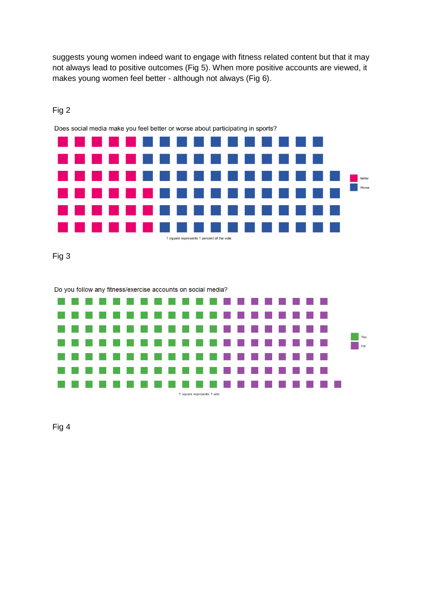suggests young women indeed want to engage with fitness related content but that it may not always lead to positive outcomes (Fig 5). When more positive accounts are viewed, it makes young women feel better - although not always (Fig 6).

| Does social media make you feel better or worse about participating in sports? |  |  |  |  |  |  |  |  |  |                   |  |  |  |  |  |        |
|--------------------------------------------------------------------------------|--|--|--|--|--|--|--|--|--|-------------------|--|--|--|--|--|--------|
|                                                                                |  |  |  |  |  |  |  |  |  | .                 |  |  |  |  |  |        |
|                                                                                |  |  |  |  |  |  |  |  |  | .                 |  |  |  |  |  |        |
|                                                                                |  |  |  |  |  |  |  |  |  | .                 |  |  |  |  |  | Better |
|                                                                                |  |  |  |  |  |  |  |  |  | ----------------- |  |  |  |  |  | Worse  |
|                                                                                |  |  |  |  |  |  |  |  |  | .                 |  |  |  |  |  |        |
|                                                                                |  |  |  |  |  |  |  |  |  | .                 |  |  |  |  |  |        |
| 1 square represents 1 percent of the vote                                      |  |  |  |  |  |  |  |  |  |                   |  |  |  |  |  |        |

# Fig 2

Fig 3

Do you follow any fitness/exercise accounts on social media?



Fig 4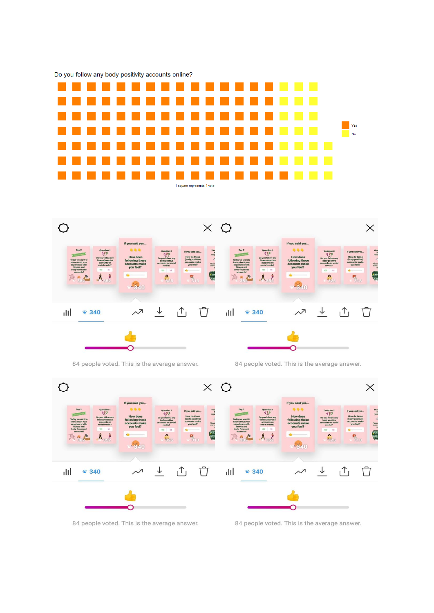



84 people voted. This is the average answer.

84 people voted. This is the average answer.



84 people voted. This is the average answer.

84 people voted. This is the average answer.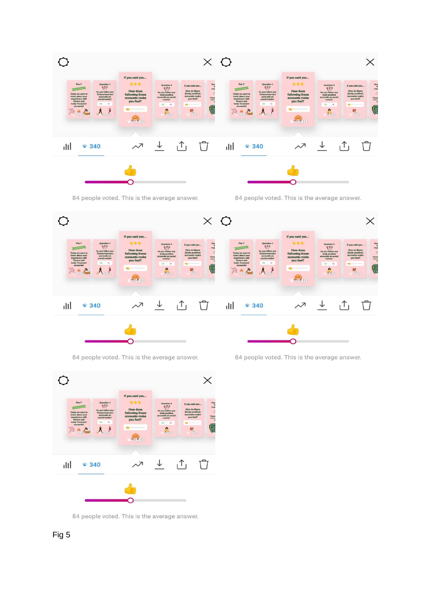

84 people voted. This is the average answer.

84 people voted. This is the average answer.



84 people voted. This is the average answer.

84 people voted. This is the average answer.



84 people voted. This is the average answer.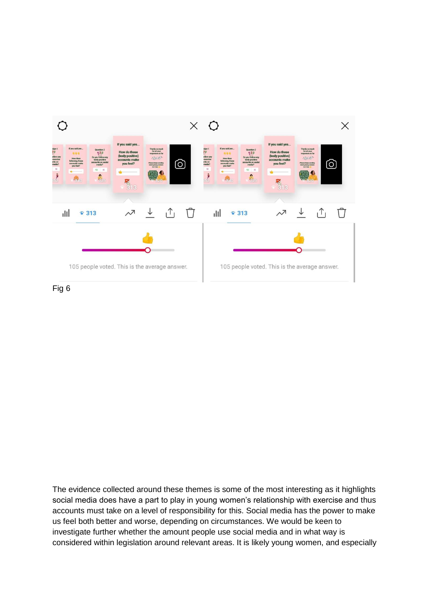

Fig 6

The evidence collected around these themes is some of the most interesting as it highlights social media does have a part to play in young women's relationship with exercise and thus accounts must take on a level of responsibility for this. Social media has the power to make us feel both better and worse, depending on circumstances. We would be keen to investigate further whether the amount people use social media and in what way is considered within legislation around relevant areas. It is likely young women, and especially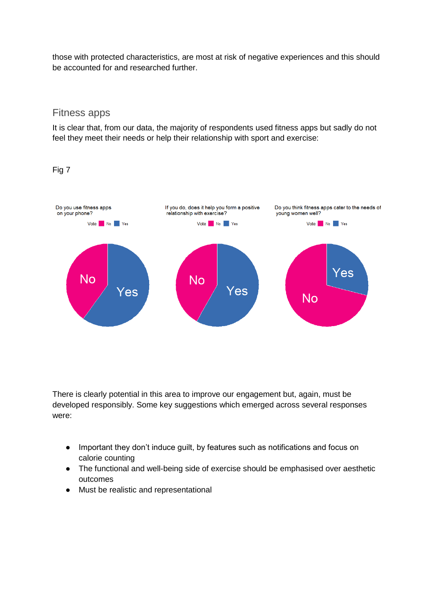those with protected characteristics, are most at risk of negative experiences and this should be accounted for and researched further.

### Fitness apps

It is clear that, from our data, the majority of respondents used fitness apps but sadly do not feel they meet their needs or help their relationship with sport and exercise:

Fig 7



There is clearly potential in this area to improve our engagement but, again, must be developed responsibly. Some key suggestions which emerged across several responses were:

- Important they don't induce guilt, by features such as notifications and focus on calorie counting
- The functional and well-being side of exercise should be emphasised over aesthetic outcomes
- Must be realistic and representational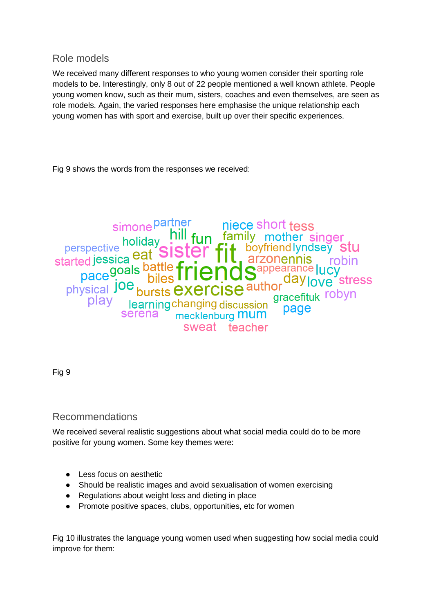# Role models

We received many different responses to who young women consider their sporting role models to be. Interestingly, only 8 out of 22 people mentioned a well known athlete. People young women know, such as their mum, sisters, coaches and even themselves, are seen as role models. Again, the varied responses here emphasise the unique relationship each young women has with sport and exercise, built up over their specific experiences.

Fig 9 shows the words from the responses we received:

simone partner<br>
holiday<br>
holiday<br>
holiday<br>
since the family mother singer<br>
perspective<br>
eat Sister<br>
fit boyfriendlyndsey S<br>
arzonennis rob<br>
pace goals battle friends arrow daylove started jucy<br>
pace i.e. biles friends ... perspective holiday [IIII fun tamily mother singer<br>arted jessica eat Sister fit boyfriendlyndsey stu<br>pace goals battle friend Sappearance Jucy<br>physical joe bursts exercise author<br>play learning changing discussion gracefitu serena mecklenburg **MUM** sweat teacher

Fig 9

## Recommendations

We received several realistic suggestions about what social media could do to be more positive for young women. Some key themes were:

- Less focus on aesthetic
- Should be realistic images and avoid sexualisation of women exercising
- Regulations about weight loss and dieting in place
- Promote positive spaces, clubs, opportunities, etc for women

Fig 10 illustrates the language young women used when suggesting how social media could improve for them: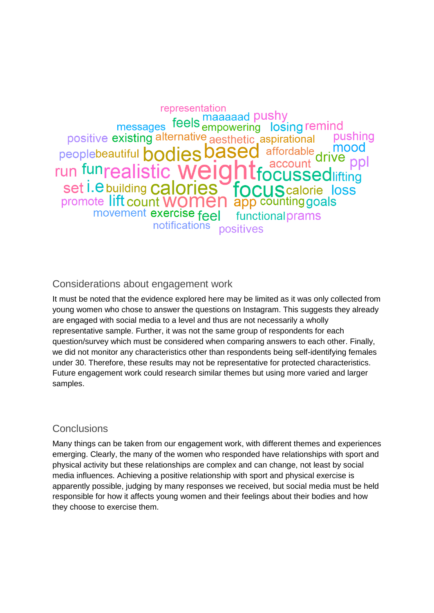representation messages feels maaaaad pushy<br>messages feels empowering losing remind positive existing alternative aesthetic aspirational pushina mood peoplebeautiful **hodies based** affordable run funrealistic **MAI JSSedlifting** set i.e building calories **JScalorie loss TO** promote lift count W app counting goals movement exercise feel functional prams notifications positives

# Considerations about engagement work

It must be noted that the evidence explored here may be limited as it was only collected from young women who chose to answer the questions on Instagram. This suggests they already are engaged with social media to a level and thus are not necessarily a wholly representative sample. Further, it was not the same group of respondents for each question/survey which must be considered when comparing answers to each other. Finally, we did not monitor any characteristics other than respondents being self-identifying females under 30. Therefore, these results may not be representative for protected characteristics. Future engagement work could research similar themes but using more varied and larger samples.

# **Conclusions**

Many things can be taken from our engagement work, with different themes and experiences emerging. Clearly, the many of the women who responded have relationships with sport and physical activity but these relationships are complex and can change, not least by social media influences. Achieving a positive relationship with sport and physical exercise is apparently possible, judging by many responses we received, but social media must be held responsible for how it affects young women and their feelings about their bodies and how they choose to exercise them.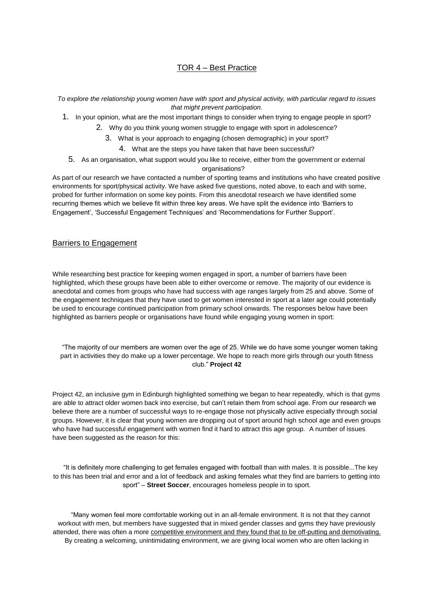#### TOR 4 – Best Practice

*To explore the relationship young women have with sport and physical activity, with particular regard to issues that might prevent participation.*

- 1. In your opinion, what are the most important things to consider when trying to engage people in sport?
	- 2. Why do you think young women struggle to engage with sport in adolescence?
		- 3. What is your approach to engaging (chosen demographic) in your sport?
			- 4. What are the steps you have taken that have been successful?
	- 5. As an organisation, what support would you like to receive, either from the government or external organisations?

As part of our research we have contacted a number of sporting teams and institutions who have created positive environments for sport/physical activity. We have asked five questions, noted above, to each and with some, probed for further information on some key points. From this anecdotal research we have identified some recurring themes which we believe fit within three key areas. We have split the evidence into 'Barriers to Engagement', 'Successful Engagement Techniques' and 'Recommendations for Further Support'.

#### Barriers to Engagement

While researching best practice for keeping women engaged in sport, a number of barriers have been highlighted, which these groups have been able to either overcome or remove. The majority of our evidence is anecdotal and comes from groups who have had success with age ranges largely from 25 and above. Some of the engagement techniques that they have used to get women interested in sport at a later age could potentially be used to encourage continued participation from primary school onwards. The responses below have been highlighted as barriers people or organisations have found while engaging young women in sport:

 "The majority of our members are women over the age of 25. While we do have some younger women taking part in activities they do make up a lower percentage. We hope to reach more girls through our youth fitness club." **Project 42**

Project 42, an inclusive gym in Edinburgh highlighted something we began to hear repeatedly, which is that gyms are able to attract older women back into exercise, but can't retain them from school age. From our research we believe there are a number of successful ways to re-engage those not physically active especially through social groups. However, it is clear that young women are dropping out of sport around high school age and even groups who have had successful engagement with women find it hard to attract this age group. A number of issues have been suggested as the reason for this:

 "It is definitely more challenging to get females engaged with football than with males. It is possible...The key to this has been trial and error and a lot of feedback and asking females what they find are barriers to getting into sport" – **Street Soccer**, encourages homeless people in to sport.

 "Many women feel more comfortable working out in an all-female environment. It is not that they cannot workout with men, but members have suggested that in mixed gender classes and gyms they have previously attended, there was often a more competitive environment and they found that to be off-putting and demotivating. By creating a welcoming, unintimidating environment, we are giving local women who are often lacking in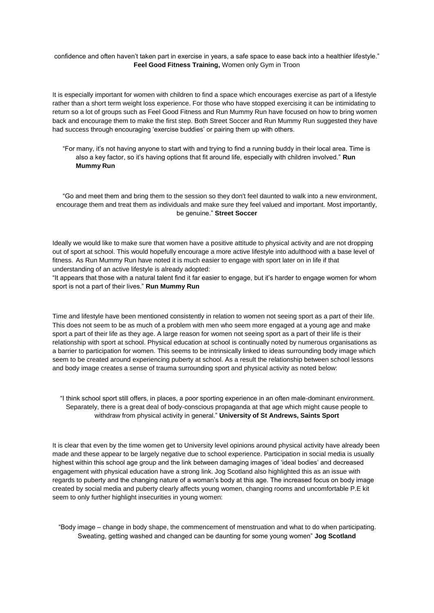confidence and often haven't taken part in exercise in years, a safe space to ease back into a healthier lifestyle." **Feel Good Fitness Training,** Women only Gym in Troon

It is especially important for women with children to find a space which encourages exercise as part of a lifestyle rather than a short term weight loss experience. For those who have stopped exercising it can be intimidating to return so a lot of groups such as Feel Good Fitness and Run Mummy Run have focused on how to bring women back and encourage them to make the first step. Both Street Soccer and Run Mummy Run suggested they have had success through encouraging 'exercise buddies' or pairing them up with others.

 "For many, it's not having anyone to start with and trying to find a running buddy in their local area. Time is also a key factor, so it's having options that fit around life, especially with children involved." **Run Mummy Run**

 "Go and meet them and bring them to the session so they don't feel daunted to walk into a new environment, encourage them and treat them as individuals and make sure they feel valued and important. Most importantly, be genuine." **Street Soccer**

Ideally we would like to make sure that women have a positive attitude to physical activity and are not dropping out of sport at school. This would hopefully encourage a more active lifestyle into adulthood with a base level of fitness. As Run Mummy Run have noted it is much easier to engage with sport later on in life if that understanding of an active lifestyle is already adopted:

"It appears that those with a natural talent find it far easier to engage, but it's harder to engage women for whom sport is not a part of their lives." **Run Mummy Run**

Time and lifestyle have been mentioned consistently in relation to women not seeing sport as a part of their life. This does not seem to be as much of a problem with men who seem more engaged at a young age and make sport a part of their life as they age. A large reason for women not seeing sport as a part of their life is their relationship with sport at school. Physical education at school is continually noted by numerous organisations as a barrier to participation for women. This seems to be intrinsically linked to ideas surrounding body image which seem to be created around experiencing puberty at school. As a result the relationship between school lessons and body image creates a sense of trauma surrounding sport and physical activity as noted below:

"I think school sport still offers, in places, a poor sporting experience in an often male-dominant environment. Separately, there is a great deal of body-conscious propaganda at that age which might cause people to withdraw from physical activity in general." **University of St Andrews, Saints Sport**

It is clear that even by the time women get to University level opinions around physical activity have already been made and these appear to be largely negative due to school experience. Participation in social media is usually highest within this school age group and the link between damaging images of 'ideal bodies' and decreased engagement with physical education have a strong link. Jog Scotland also highlighted this as an issue with regards to puberty and the changing nature of a woman's body at this age. The increased focus on body image created by social media and puberty clearly affects young women, changing rooms and uncomfortable P.E kit seem to only further highlight insecurities in young women:

"Body image – change in body shape, the commencement of menstruation and what to do when participating. Sweating, getting washed and changed can be daunting for some young women" **Jog Scotland**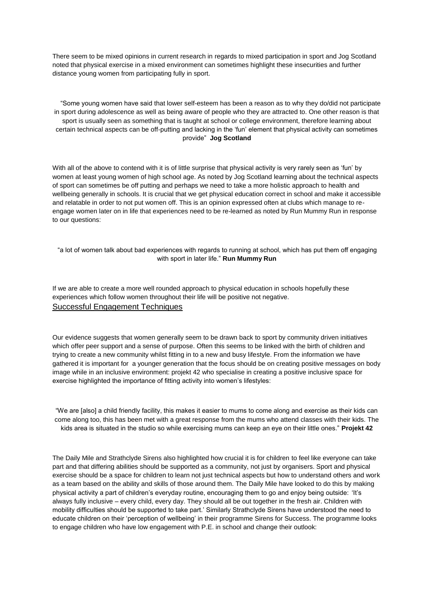There seem to be mixed opinions in current research in regards to mixed participation in sport and Jog Scotland noted that physical exercise in a mixed environment can sometimes highlight these insecurities and further distance young women from participating fully in sport.

 "Some young women have said that lower self-esteem has been a reason as to why they do/did not participate in sport during adolescence as well as being aware of people who they are attracted to. One other reason is that sport is usually seen as something that is taught at school or college environment, therefore learning about certain technical aspects can be off-putting and lacking in the 'fun' element that physical activity can sometimes provide" **Jog Scotland**

With all of the above to contend with it is of little surprise that physical activity is very rarely seen as 'fun' by women at least young women of high school age. As noted by Jog Scotland learning about the technical aspects of sport can sometimes be off putting and perhaps we need to take a more holistic approach to health and wellbeing generally in schools. It is crucial that we get physical education correct in school and make it accessible and relatable in order to not put women off. This is an opinion expressed often at clubs which manage to reengage women later on in life that experiences need to be re-learned as noted by Run Mummy Run in response to our questions:

"a lot of women talk about bad experiences with regards to running at school, which has put them off engaging with sport in later life." **Run Mummy Run**

If we are able to create a more well rounded approach to physical education in schools hopefully these experiences which follow women throughout their life will be positive not negative. Successful Engagement Techniques

Our evidence suggests that women generally seem to be drawn back to sport by community driven initiatives which offer peer support and a sense of purpose. Often this seems to be linked with the birth of children and trying to create a new community whilst fitting in to a new and busy lifestyle. From the information we have gathered it is important for a younger generation that the focus should be on creating positive messages on body image while in an inclusive environment: projekt 42 who specialise in creating a positive inclusive space for exercise highlighted the importance of fitting activity into women's lifestyles:

"We are [also] a child friendly facility, this makes it easier to mums to come along and exercise as their kids can come along too, this has been met with a great response from the mums who attend classes with their kids. The kids area is situated in the studio so while exercising mums can keep an eye on their little ones." **Projekt 42**

The Daily Mile and Strathclyde Sirens also highlighted how crucial it is for children to feel like everyone can take part and that differing abilities should be supported as a community, not just by organisers. Sport and physical exercise should be a space for children to learn not just technical aspects but how to understand others and work as a team based on the ability and skills of those around them. The Daily Mile have looked to do this by making physical activity a part of children's everyday routine, encouraging them to go and enjoy being outside: 'It's always fully inclusive – every child, every day. They should all be out together in the fresh air. Children with mobility difficulties should be supported to take part.' Similarly Strathclyde Sirens have understood the need to educate children on their 'perception of wellbeing' in their programme Sirens for Success. The programme looks to engage children who have low engagement with P.E. in school and change their outlook: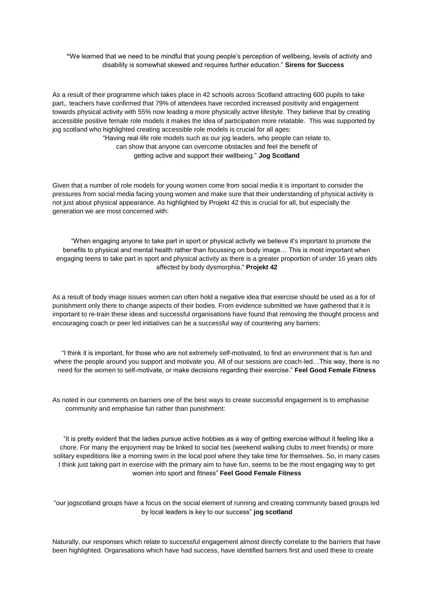**"**We learned that we need to be mindful that young people's perception of wellbeing, levels of activity and disability is somewhat skewed and requires further education." **Sirens for Success** 

As a result of their programme which takes place in 42 schools across Scotland attracting 600 pupils to take part,. teachers have confirmed that 79% of attendees have recorded increased positivity and engagement towards physical activity with 55% now leading a more physically active lifestyle. They believe that by creating accessible positive female role models it makes the idea of participation more relatable. This was supported by jog scotland who highlighted creating accessible role models is crucial for all ages:

> "Having real-life role models such as our jog leaders, who people can relate to, can show that anyone can overcome obstacles and feel the benefit of getting active and support their wellbeing." **Jog Scotland**

Given that a number of role models for young women come from social media it is important to consider the pressures from social media facing young women and make sure that their understanding of physical activity is not just about physical appearance. As highlighted by Projekt 42 this is crucial for all, but especially the generation we are most concerned with:

 "When engaging anyone to take part in sport or physical activity we believe it's important to promote the benefits to physical and mental health rather than focussing on body image… This is most important when engaging teens to take part in sport and physical activity as there is a greater proportion of under 16 years olds affected by body dysmorphia." **Projekt 42**

As a result of body image issues women can often hold a negative idea that exercise should be used as a for of punishment only there to change aspects of their bodies. From evidence submitted we have gathered that it is important to re-train these ideas and successful organisations have found that removing the thought process and encouraging coach or peer led initiatives can be a successful way of countering any barriers:

"I think it is important, for those who are not extremely self-motivated, to find an environment that is fun and where the people around you support and motivate you. All of our sessions are coach-led...This way, there is no need for the women to self-motivate, or make decisions regarding their exercise." **Feel Good Female Fitness**

As noted in our comments on barriers one of the best ways to create successful engagement is to emphasise community and emphasise fun rather than punishment:

 "it is pretty evident that the ladies pursue active hobbies as a way of getting exercise without it feeling like a chore. For many the enjoyment may be linked to social ties (weekend walking clubs to meet friends) or more solitary expeditions like a morning swim in the local pool where they take time for themselves. So, in many cases I think just taking part in exercise with the primary aim to have fun, seems to be the most engaging way to get women into sport and fitness" **Feel Good Female Fitness**

"our jogscotland groups have a focus on the social element of running and creating community based groups led by local leaders is key to our success" **jog scotland**

Naturally, our responses which relate to successful engagement almost directly correlate to the barriers that have been highlighted. Organisations which have had success, have identified barriers first and used these to create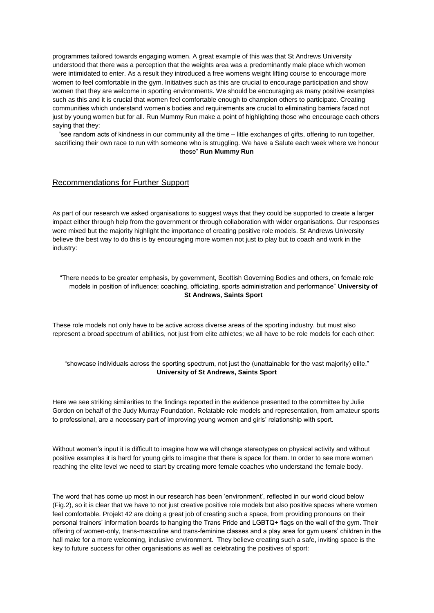programmes tailored towards engaging women. A great example of this was that St Andrews University understood that there was a perception that the weights area was a predominantly male place which women were intimidated to enter. As a result they introduced a free womens weight lifting course to encourage more women to feel comfortable in the gym. Initiatives such as this are crucial to encourage participation and show women that they are welcome in sporting environments. We should be encouraging as many positive examples such as this and it is crucial that women feel comfortable enough to champion others to participate. Creating communities which understand women's bodies and requirements are crucial to eliminating barriers faced not just by young women but for all. Run Mummy Run make a point of highlighting those who encourage each others saying that they:

"see random acts of kindness in our community all the time – little exchanges of gifts, offering to run together, sacrificing their own race to run with someone who is struggling. We have a Salute each week where we honour these" **Run Mummy Run**

#### Recommendations for Further Support

As part of our research we asked organisations to suggest ways that they could be supported to create a larger impact either through help from the government or through collaboration with wider organisations. Our responses were mixed but the majority highlight the importance of creating positive role models. St Andrews University believe the best way to do this is by encouraging more women not just to play but to coach and work in the industry:

"There needs to be greater emphasis, by government, Scottish Governing Bodies and others, on female role models in position of influence; coaching, officiating, sports administration and performance" **University of St Andrews, Saints Sport**

These role models not only have to be active across diverse areas of the sporting industry, but must also represent a broad spectrum of abilities, not just from elite athletes; we all have to be role models for each other:

"showcase individuals across the sporting spectrum, not just the (unattainable for the vast majority) elite." **University of St Andrews, Saints Sport**

Here we see striking similarities to the findings reported in the evidence presented to the committee by Julie Gordon on behalf of the Judy Murray Foundation. Relatable role models and representation, from amateur sports to professional, are a necessary part of improving young women and girls' relationship with sport.

Without women's input it is difficult to imagine how we will change stereotypes on physical activity and without positive examples it is hard for young girls to imagine that there is space for them. In order to see more women reaching the elite level we need to start by creating more female coaches who understand the female body.

The word that has come up most in our research has been 'environment', reflected in our world cloud below (Fig.2), so it is clear that we have to not just creative positive role models but also positive spaces where women feel comfortable. Projekt 42 are doing a great job of creating such a space, from providing pronouns on their personal trainers' information boards to hanging the Trans Pride and LGBTQ+ flags on the wall of the gym. Their offering of women-only, trans-masculine and trans-feminine classes and a play area for gym users' children in the hall make for a more welcoming, inclusive environment. They believe creating such a safe, inviting space is the key to future success for other organisations as well as celebrating the positives of sport: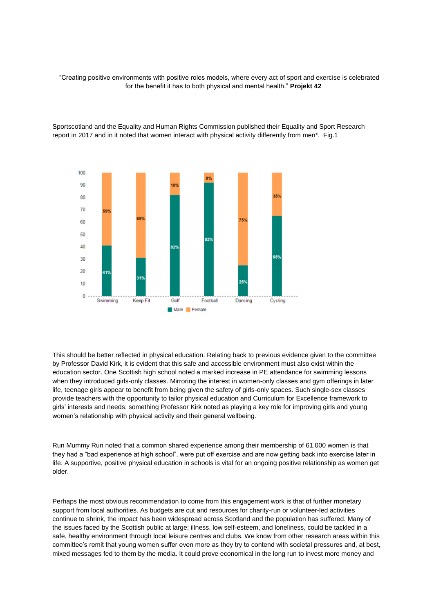"Creating positive environments with positive roles models, where every act of sport and exercise is celebrated for the benefit it has to both physical and mental health." **Projekt 42**



Sportscotland and the Equality and Human Rights Commission published their Equality and Sport Research report in 2017 and in it noted that women interact with physical activity differently from men\*. Fig.1

This should be better reflected in physical education. Relating back to previous evidence given to the committee by Professor David Kirk, it is evident that this safe and accessible environment must also exist within the education sector. One Scottish high school noted a marked increase in PE attendance for swimming lessons when they introduced girls-only classes. Mirroring the interest in women-only classes and gym offerings in later life, teenage girls appear to benefit from being given the safety of girls-only spaces. Such single-sex classes provide teachers with the opportunity to tailor physical education and Curriculum for Excellence framework to girls' interests and needs; something Professor Kirk noted as playing a key role for improving girls and young women's relationship with physical activity and their general wellbeing.

Run Mummy Run noted that a common shared experience among their membership of 61,000 women is that they had a "bad experience at high school", were put off exercise and are now getting back into exercise later in life. A supportive, positive physical education in schools is vital for an ongoing positive relationship as women get older.

Perhaps the most obvious recommendation to come from this engagement work is that of further monetary support from local authorities. As budgets are cut and resources for charity-run or volunteer-led activities continue to shrink, the impact has been widespread across Scotland and the population has suffered. Many of the issues faced by the Scottish public at large; illness, low self-esteem, and loneliness, could be tackled in a safe, healthy environment through local leisure centres and clubs. We know from other research areas within this committee's remit that young women suffer even more as they try to contend with societal pressures and, at best, mixed messages fed to them by the media. It could prove economical in the long run to invest more money and